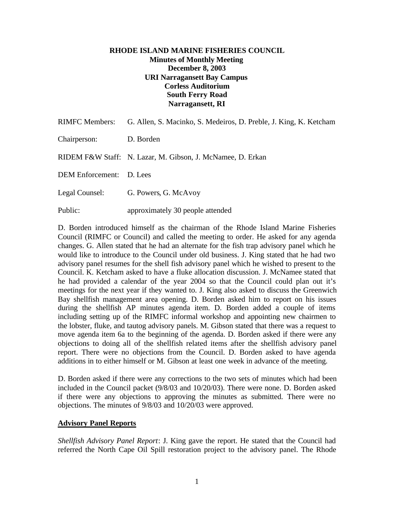# **RHODE ISLAND MARINE FISHERIES COUNCIL Minutes of Monthly Meeting December 8, 2003 URI Narragansett Bay Campus Corless Auditorium South Ferry Road Narragansett, RI**

| <b>RIMFC Members:</b>    | G. Allen, S. Macinko, S. Medeiros, D. Preble, J. King, K. Ketcham |
|--------------------------|-------------------------------------------------------------------|
| Chairperson:             | D. Borden                                                         |
|                          | RIDEM F&W Staff: N. Lazar, M. Gibson, J. McNamee, D. Erkan        |
| DEM Enforcement: D. Lees |                                                                   |
| Legal Counsel:           | G. Powers, G. McAvoy                                              |
| Public:                  | approximately 30 people attended                                  |

D. Borden introduced himself as the chairman of the Rhode Island Marine Fisheries Council (RIMFC or Council) and called the meeting to order. He asked for any agenda changes. G. Allen stated that he had an alternate for the fish trap advisory panel which he would like to introduce to the Council under old business. J. King stated that he had two advisory panel resumes for the shell fish advisory panel which he wished to present to the Council. K. Ketcham asked to have a fluke allocation discussion. J. McNamee stated that he had provided a calendar of the year 2004 so that the Council could plan out it's meetings for the next year if they wanted to. J. King also asked to discuss the Greenwich Bay shellfish management area opening. D. Borden asked him to report on his issues during the shellfish AP minutes agenda item. D. Borden added a couple of items including setting up of the RIMFC informal workshop and appointing new chairmen to the lobster, fluke, and tautog advisory panels. M. Gibson stated that there was a request to move agenda item 6a to the beginning of the agenda. D. Borden asked if there were any objections to doing all of the shellfish related items after the shellfish advisory panel report. There were no objections from the Council. D. Borden asked to have agenda additions in to either himself or M. Gibson at least one week in advance of the meeting.

D. Borden asked if there were any corrections to the two sets of minutes which had been included in the Council packet (9/8/03 and 10/20/03). There were none. D. Borden asked if there were any objections to approving the minutes as submitted. There were no objections. The minutes of 9/8/03 and 10/20/03 were approved.

### **Advisory Panel Reports**

*Shellfish Advisory Panel Report*: J. King gave the report. He stated that the Council had referred the North Cape Oil Spill restoration project to the advisory panel. The Rhode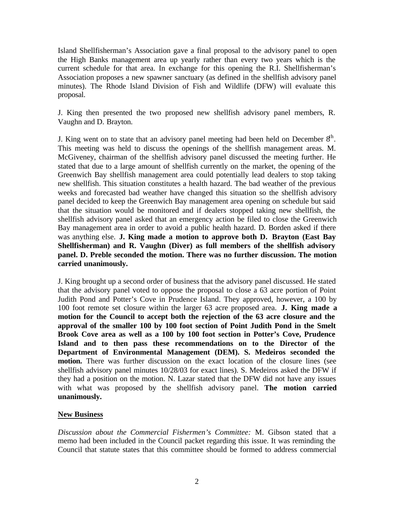Island Shellfisherman's Association gave a final proposal to the advisory panel to open the High Banks management area up yearly rather than every two years which is the current schedule for that area. In exchange for this opening the R.I. Shellfisherman's Association proposes a new spawner sanctuary (as defined in the shellfish advisory panel minutes). The Rhode Island Division of Fish and Wildlife (DFW) will evaluate this proposal.

J. King then presented the two proposed new shellfish advisory panel members, R. Vaughn and D. Brayton.

J. King went on to state that an advisory panel meeting had been held on December  $8<sup>th</sup>$ . This meeting was held to discuss the openings of the shellfish management areas. M. McGiveney, chairman of the shellfish advisory panel discussed the meeting further. He stated that due to a large amount of shellfish currently on the market, the opening of the Greenwich Bay shellfish management area could potentially lead dealers to stop taking new shellfish. This situation constitutes a health hazard. The bad weather of the previous weeks and forecasted bad weather have changed this situation so the shellfish advisory panel decided to keep the Greenwich Bay management area opening on schedule but said that the situation would be monitored and if dealers stopped taking new shellfish, the shellfish advisory panel asked that an emergency action be filed to close the Greenwich Bay management area in order to avoid a public health hazard. D. Borden asked if there was anything else. **J. King made a motion to approve both D. Brayton (East Bay Shellfisherman) and R. Vaughn (Diver) as full members of the shellfish advisory panel. D. Preble seconded the motion. There was no further discussion. The motion carried unanimously.**

J. King brought up a second order of business that the advisory panel discussed. He stated that the advisory panel voted to oppose the proposal to close a 63 acre portion of Point Judith Pond and Potter's Cove in Prudence Island. They approved, however, a 100 by 100 foot remote set closure within the larger 63 acre proposed area. **J. King made a motion for the Council to accept both the rejection of the 63 acre closure and the approval of the smaller 100 by 100 foot section of Point Judith Pond in the Smelt Brook Cove area as well as a 100 by 100 foot section in Potter's Cove, Prudence Island and to then pass these recommendations on to the Director of the Department of Environmental Management (DEM). S. Medeiros seconded the motion.** There was further discussion on the exact location of the closure lines (see shellfish advisory panel minutes 10/28/03 for exact lines). S. Medeiros asked the DFW if they had a position on the motion. N. Lazar stated that the DFW did not have any issues with what was proposed by the shellfish advisory panel. **The motion carried unanimously.**

### **New Business**

*Discussion about the Commercial Fishermen's Committee:* M. Gibson stated that a memo had been included in the Council packet regarding this issue. It was reminding the Council that statute states that this committee should be formed to address commercial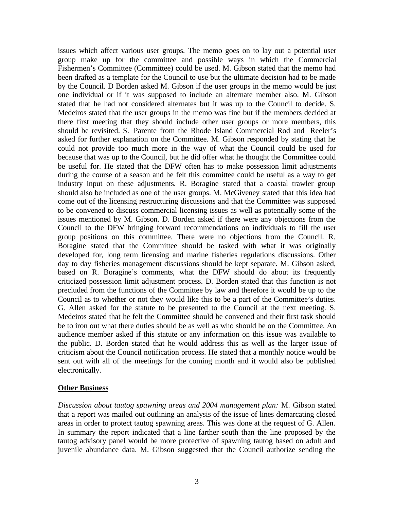issues which affect various user groups. The memo goes on to lay out a potential user group make up for the committee and possible ways in which the Commercial Fishermen's Committee (Committee) could be used. M. Gibson stated that the memo had been drafted as a template for the Council to use but the ultimate decision had to be made by the Council. D Borden asked M. Gibson if the user groups in the memo would be just one individual or if it was supposed to include an alternate member also. M. Gibson stated that he had not considered alternates but it was up to the Council to decide. S. Medeiros stated that the user groups in the memo was fine but if the members decided at there first meeting that they should include other user groups or more members, this should be revisited. S. Parente from the Rhode Island Commercial Rod and Reeler's asked for further explanation on the Committee. M. Gibson responded by stating that he could not provide too much more in the way of what the Council could be used for because that was up to the Council, but he did offer what he thought the Committee could be useful for. He stated that the DFW often has to make possession limit adjustments during the course of a season and he felt this committee could be useful as a way to get industry input on these adjustments. R. Boragine stated that a coastal trawler group should also be included as one of the user groups. M. McGiveney stated that this idea had come out of the licensing restructuring discussions and that the Committee was supposed to be convened to discuss commercial licensing issues as well as potentially some of the issues mentioned by M. Gibson. D. Borden asked if there were any objections from the Council to the DFW bringing forward recommendations on individuals to fill the user group positions on this committee. There were no objections from the Council. R. Boragine stated that the Committee should be tasked with what it was originally developed for, long term licensing and marine fisheries regulations discussions. Other day to day fisheries management discussions should be kept separate. M. Gibson asked, based on R. Boragine's comments, what the DFW should do about its frequently criticized possession limit adjustment process. D. Borden stated that this function is not precluded from the functions of the Committee by law and therefore it would be up to the Council as to whether or not they would like this to be a part of the Committee's duties. G. Allen asked for the statute to be presented to the Council at the next meeting. S. Medeiros stated that he felt the Committee should be convened and their first task should be to iron out what there duties should be as well as who should be on the Committee. An audience member asked if this statute or any information on this issue was available to the public. D. Borden stated that he would address this as well as the larger issue of criticism about the Council notification process. He stated that a monthly notice would be sent out with all of the meetings for the coming month and it would also be published electronically.

#### **Other Business**

*Discussion about tautog spawning areas and 2004 management plan:* M. Gibson stated that a report was mailed out outlining an analysis of the issue of lines demarcating closed areas in order to protect tautog spawning areas. This was done at the request of G. Allen. In summary the report indicated that a line farther south than the line proposed by the tautog advisory panel would be more protective of spawning tautog based on adult and juvenile abundance data. M. Gibson suggested that the Council authorize sending the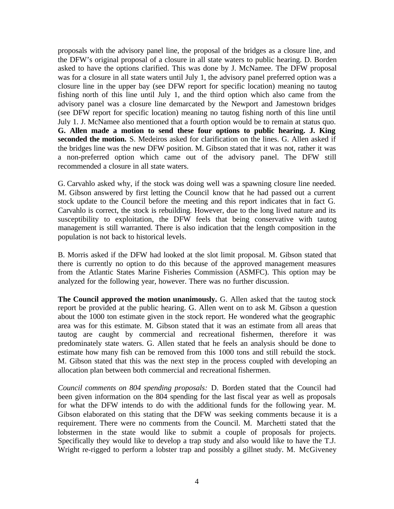proposals with the advisory panel line, the proposal of the bridges as a closure line, and the DFW's original proposal of a closure in all state waters to public hearing. D. Borden asked to have the options clarified. This was done by J. McNamee. The DFW proposal was for a closure in all state waters until July 1, the advisory panel preferred option was a closure line in the upper bay (see DFW report for specific location) meaning no tautog fishing north of this line until July 1, and the third option which also came from the advisory panel was a closure line demarcated by the Newport and Jamestown bridges (see DFW report for specific location) meaning no tautog fishing north of this line until July 1. J. McNamee also mentioned that a fourth option would be to remain at status quo. **G. Allen made a motion to send these four options to public hearing. J. King seconded the motion.** S. Medeiros asked for clarification on the lines. G. Allen asked if the bridges line was the new DFW position. M. Gibson stated that it was not, rather it was a non-preferred option which came out of the advisory panel. The DFW still recommended a closure in all state waters.

G. Carvahlo asked why, if the stock was doing well was a spawning closure line needed. M. Gibson answered by first letting the Council know that he had passed out a current stock update to the Council before the meeting and this report indicates that in fact G. Carvahlo is correct, the stock is rebuilding. However, due to the long lived nature and its susceptibility to exploitation, the DFW feels that being conservative with tautog management is still warranted. There is also indication that the length composition in the population is not back to historical levels.

B. Morris asked if the DFW had looked at the slot limit proposal. M. Gibson stated that there is currently no option to do this because of the approved management measures from the Atlantic States Marine Fisheries Commission (ASMFC). This option may be analyzed for the following year, however. There was no further discussion.

**The Council approved the motion unanimously.** G. Allen asked that the tautog stock report be provided at the public hearing. G. Allen went on to ask M. Gibson a question about the 1000 ton estimate given in the stock report. He wondered what the geographic area was for this estimate. M. Gibson stated that it was an estimate from all areas that tautog are caught by commercial and recreational fishermen, therefore it was predominately state waters. G. Allen stated that he feels an analysis should be done to estimate how many fish can be removed from this 1000 tons and still rebuild the stock. M. Gibson stated that this was the next step in the process coupled with developing an allocation plan between both commercial and recreational fishermen.

*Council comments on 804 spending proposals:* D. Borden stated that the Council had been given information on the 804 spending for the last fiscal year as well as proposals for what the DFW intends to do with the additional funds for the following year. M. Gibson elaborated on this stating that the DFW was seeking comments because it is a requirement. There were no comments from the Council. M. Marchetti stated that the lobstermen in the state would like to submit a couple of proposals for projects. Specifically they would like to develop a trap study and also would like to have the T.J. Wright re-rigged to perform a lobster trap and possibly a gillnet study. M. McGiveney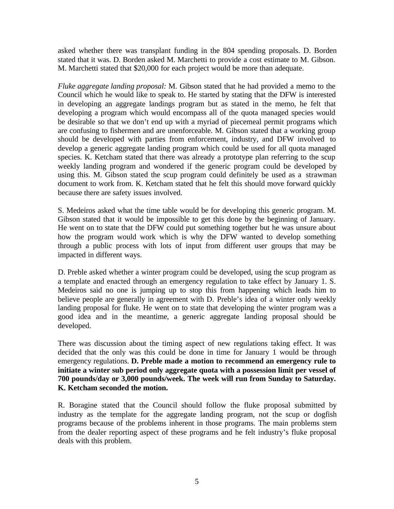asked whether there was transplant funding in the 804 spending proposals. D. Borden stated that it was. D. Borden asked M. Marchetti to provide a cost estimate to M. Gibson. M. Marchetti stated that \$20,000 for each project would be more than adequate.

*Fluke aggregate landing proposal:* M. Gibson stated that he had provided a memo to the Council which he would like to speak to. He started by stating that the DFW is interested in developing an aggregate landings program but as stated in the memo, he felt that developing a program which would encompass all of the quota managed species would be desirable so that we don't end up with a myriad of piecemeal permit programs which are confusing to fishermen and are unenforceable. M. Gibson stated that a working group should be developed with parties from enforcement, industry, and DFW involved to develop a generic aggregate landing program which could be used for all quota managed species. K. Ketcham stated that there was already a prototype plan referring to the scup weekly landing program and wondered if the generic program could be developed by using this. M. Gibson stated the scup program could definitely be used as a strawman document to work from. K. Ketcham stated that he felt this should move forward quickly because there are safety issues involved.

S. Medeiros asked what the time table would be for developing this generic program. M. Gibson stated that it would be impossible to get this done by the beginning of January. He went on to state that the DFW could put something together but he was unsure about how the program would work which is why the DFW wanted to develop something through a public process with lots of input from different user groups that may be impacted in different ways.

D. Preble asked whether a winter program could be developed, using the scup program as a template and enacted through an emergency regulation to take effect by January 1. S. Medeiros said no one is jumping up to stop this from happening which leads him to believe people are generally in agreement with D. Preble's idea of a winter only weekly landing proposal for fluke. He went on to state that developing the winter program was a good idea and in the meantime, a generic aggregate landing proposal should be developed.

There was discussion about the timing aspect of new regulations taking effect. It was decided that the only was this could be done in time for January 1 would be through emergency regulations. **D. Preble made a motion to recommend an emergency rule to initiate a winter sub period only aggregate quota with a possession limit per vessel of 700 pounds/day or 3,000 pounds/week. The week will run from Sunday to Saturday. K. Ketcham seconded the motion.**

R. Boragine stated that the Council should follow the fluke proposal submitted by industry as the template for the aggregate landing program, not the scup or dogfish programs because of the problems inherent in those programs. The main problems stem from the dealer reporting aspect of these programs and he felt industry's fluke proposal deals with this problem.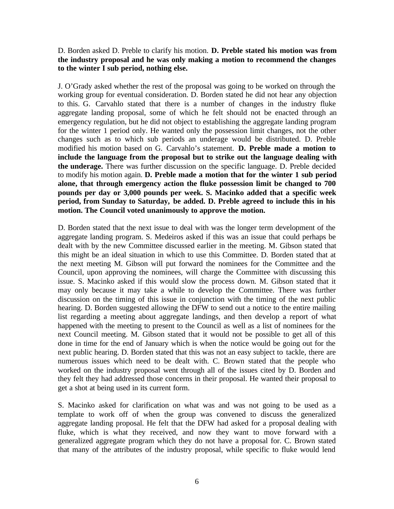# D. Borden asked D. Preble to clarify his motion. **D. Preble stated his motion was from the industry proposal and he was only making a motion to recommend the changes to the winter I sub period, nothing else.**

J. O'Grady asked whether the rest of the proposal was going to be worked on through the working group for eventual consideration. D. Borden stated he did not hear any objection to this. G. Carvahlo stated that there is a number of changes in the industry fluke aggregate landing proposal, some of which he felt should not be enacted through an emergency regulation, but he did not object to establishing the aggregate landing program for the winter 1 period only. He wanted only the possession limit changes, not the other changes such as to which sub periods an underage would be distributed. D. Preble modified his motion based on G. Carvahlo's statement. **D. Preble made a motion to include the language from the proposal but to strike out the language dealing with the underage.** There was further discussion on the specific language. D. Preble decided to modify his motion again. **D. Preble made a motion that for the winter 1 sub period alone, that through emergency action the fluke possession limit be changed to 700 pounds per day or 3,000 pounds per week. S. Macinko added that a specific week period, from Sunday to Saturday, be added. D. Preble agreed to include this in his motion. The Council voted unanimously to approve the motion.**

D. Borden stated that the next issue to deal with was the longer term development of the aggregate landing program. S. Medeiros asked if this was an issue that could perhaps be dealt with by the new Committee discussed earlier in the meeting. M. Gibson stated that this might be an ideal situation in which to use this Committee. D. Borden stated that at the next meeting M. Gibson will put forward the nominees for the Committee and the Council, upon approving the nominees, will charge the Committee with discussing this issue. S. Macinko asked if this would slow the process down. M. Gibson stated that it may only because it may take a while to develop the Committee. There was further discussion on the timing of this issue in conjunction with the timing of the next public hearing. D. Borden suggested allowing the DFW to send out a notice to the entire mailing list regarding a meeting about aggregate landings, and then develop a report of what happened with the meeting to present to the Council as well as a list of nominees for the next Council meeting. M. Gibson stated that it would not be possible to get all of this done in time for the end of January which is when the notice would be going out for the next public hearing. D. Borden stated that this was not an easy subject to tackle, there are numerous issues which need to be dealt with. C. Brown stated that the people who worked on the industry proposal went through all of the issues cited by D. Borden and they felt they had addressed those concerns in their proposal. He wanted their proposal to get a shot at being used in its current form.

S. Macinko asked for clarification on what was and was not going to be used as a template to work off of when the group was convened to discuss the generalized aggregate landing proposal. He felt that the DFW had asked for a proposal dealing with fluke, which is what they received, and now they want to move forward with a generalized aggregate program which they do not have a proposal for. C. Brown stated that many of the attributes of the industry proposal, while specific to fluke would lend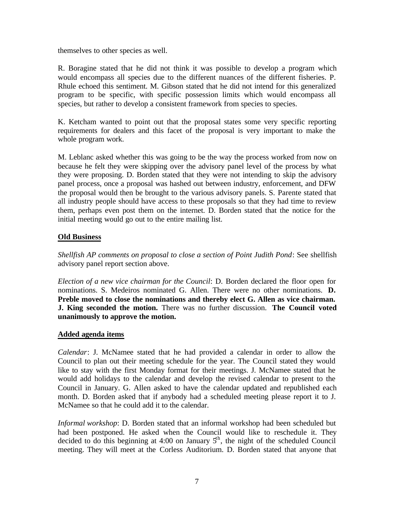themselves to other species as well.

R. Boragine stated that he did not think it was possible to develop a program which would encompass all species due to the different nuances of the different fisheries. P. Rhule echoed this sentiment. M. Gibson stated that he did not intend for this generalized program to be specific, with specific possession limits which would encompass all species, but rather to develop a consistent framework from species to species.

K. Ketcham wanted to point out that the proposal states some very specific reporting requirements for dealers and this facet of the proposal is very important to make the whole program work.

M. Leblanc asked whether this was going to be the way the process worked from now on because he felt they were skipping over the advisory panel level of the process by what they were proposing. D. Borden stated that they were not intending to skip the advisory panel process, once a proposal was hashed out between industry, enforcement, and DFW the proposal would then be brought to the various advisory panels. S. Parente stated that all industry people should have access to these proposals so that they had time to review them, perhaps even post them on the internet. D. Borden stated that the notice for the initial meeting would go out to the entire mailing list.

# **Old Business**

*Shellfish AP comments on proposal to close a section of Point Judith Pond*: See shellfish advisory panel report section above.

*Election of a new vice chairman for the Council*: D. Borden declared the floor open for nominations. S. Medeiros nominated G. Allen. There were no other nominations. **D. Preble moved to close the nominations and thereby elect G. Allen as vice chairman. J. King seconded the motion.** There was no further discussion. **The Council voted unanimously to approve the motion.**

### **Added agenda items**

*Calendar*: J. McNamee stated that he had provided a calendar in order to allow the Council to plan out their meeting schedule for the year. The Council stated they would like to stay with the first Monday format for their meetings. J. McNamee stated that he would add holidays to the calendar and develop the revised calendar to present to the Council in January. G. Allen asked to have the calendar updated and republished each month. D. Borden asked that if anybody had a scheduled meeting please report it to J. McNamee so that he could add it to the calendar.

*Informal workshop*: D. Borden stated that an informal workshop had been scheduled but had been postponed. He asked when the Council would like to reschedule it. They decided to do this beginning at 4:00 on January  $5<sup>th</sup>$ , the night of the scheduled Council meeting. They will meet at the Corless Auditorium. D. Borden stated that anyone that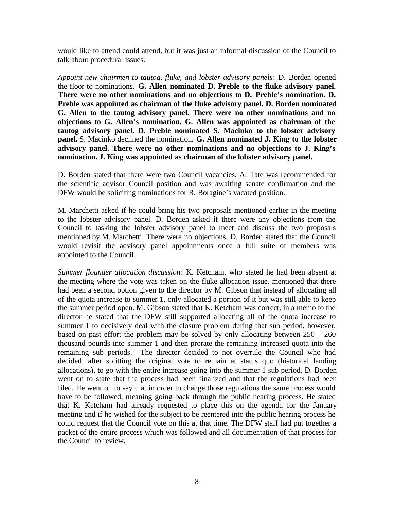would like to attend could attend, but it was just an informal discussion of the Council to talk about procedural issues.

*Appoint new chairmen to tautog, fluke, and lobster advisory panels*: D. Borden opened the floor to nominations. **G. Allen nominated D. Preble to the fluke advisory panel. There were no other nominations and no objections to D. Preble's nomination. D. Preble was appointed as chairman of the fluke advisory panel. D. Borden nominated G. Allen to the tautog advisory panel. There were no other nominations and no objections to G. Allen's nomination. G. Allen was appointed as chairman of the tautog advisory panel. D. Preble nominated S. Macinko to the lobster advisory panel.** S. Macinko declined the nomination. **G. Allen nominated J. King to the lobster advisory panel. There were no other nominations and no objections to J. King's nomination. J. King was appointed as chairman of the lobster advisory panel.**

D. Borden stated that there were two Council vacancies. A. Tate was recommended for the scientific advisor Council position and was awaiting senate confirmation and the DFW would be soliciting nominations for R. Boragine's vacated position.

M. Marchetti asked if he could bring his two proposals mentioned earlier in the meeting to the lobster advisory panel. D. Borden asked if there were any objections from the Council to tasking the lobster advisory panel to meet and discuss the two proposals mentioned by M. Marchetti. There were no objections. D. Borden stated that the Council would revisit the advisory panel appointments once a full suite of members was appointed to the Council.

*Summer flounder allocation discussion*: K. Ketcham, who stated he had been absent at the meeting where the vote was taken on the fluke allocation issue, mentioned that there had been a second option given to the director by M. Gibson that instead of allocating all of the quota increase to summer 1, only allocated a portion of it but was still able to keep the summer period open. M. Gibson stated that K. Ketcham was correct, in a memo to the director he stated that the DFW still supported allocating all of the quota increase to summer 1 to decisively deal with the closure problem during that sub period, however, based on past effort the problem may be solved by only allocating between  $250 - 260$ thousand pounds into summer 1 and then prorate the remaining increased quota into the remaining sub periods. The director decided to not overrule the Council who had decided, after splitting the original vote to remain at status quo (historical landing allocations), to go with the entire increase going into the summer 1 sub period. D. Borden went on to state that the process had been finalized and that the regulations had been filed. He went on to say that in order to change those regulations the same process would have to be followed, meaning going back through the public hearing process. He stated that K. Ketcham had already requested to place this on the agenda for the January meeting and if he wished for the subject to be reentered into the public hearing process he could request that the Council vote on this at that time. The DFW staff had put together a packet of the entire process which was followed and all documentation of that process for the Council to review.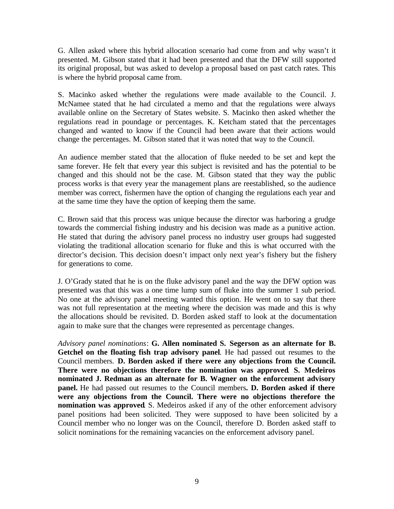G. Allen asked where this hybrid allocation scenario had come from and why wasn't it presented. M. Gibson stated that it had been presented and that the DFW still supported its original proposal, but was asked to develop a proposal based on past catch rates. This is where the hybrid proposal came from.

S. Macinko asked whether the regulations were made available to the Council. J. McNamee stated that he had circulated a memo and that the regulations were always available online on the Secretary of States website. S. Macinko then asked whether the regulations read in poundage or percentages. K. Ketcham stated that the percentages changed and wanted to know if the Council had been aware that their actions would change the percentages. M. Gibson stated that it was noted that way to the Council.

An audience member stated that the allocation of fluke needed to be set and kept the same forever. He felt that every year this subject is revisited and has the potential to be changed and this should not be the case. M. Gibson stated that they way the public process works is that every year the management plans are reestablished, so the audience member was correct, fishermen have the option of changing the regulations each year and at the same time they have the option of keeping them the same.

C. Brown said that this process was unique because the director was harboring a grudge towards the commercial fishing industry and his decision was made as a punitive action. He stated that during the advisory panel process no industry user groups had suggested violating the traditional allocation scenario for fluke and this is what occurred with the director's decision. This decision doesn't impact only next year's fishery but the fishery for generations to come.

J. O'Grady stated that he is on the fluke advisory panel and the way the DFW option was presented was that this was a one time lump sum of fluke into the summer 1 sub period. No one at the advisory panel meeting wanted this option. He went on to say that there was not full representation at the meeting where the decision was made and this is why the allocations should be revisited. D. Borden asked staff to look at the documentation again to make sure that the changes were represented as percentage changes.

*Advisory panel nominations*: **G. Allen nominated S. Segerson as an alternate for B. Getchel on the floating fish trap advisory panel**. He had passed out resumes to the Council members. **D. Borden asked if there were any objections from the Council. There were no objections therefore the nomination was approved**. **S. Medeiros nominated J. Redman as an alternate for B. Wagner on the enforcement advisory panel.** He had passed out resumes to the Council members**. D. Borden asked if there were any objections from the Council. There were no objections therefore the nomination was approved**. S. Medeiros asked if any of the other enforcement advisory panel positions had been solicited. They were supposed to have been solicited by a Council member who no longer was on the Council, therefore D. Borden asked staff to solicit nominations for the remaining vacancies on the enforcement advisory panel.